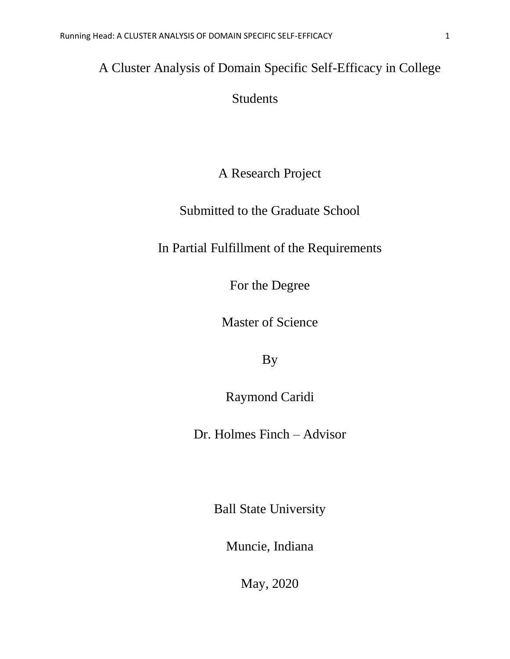# A Cluster Analysis of Domain Specific Self-Efficacy in College

### Students

### A Research Project

### Submitted to the Graduate School

## In Partial Fulfillment of the Requirements

For the Degree

Master of Science

By

Raymond Caridi

Dr. Holmes Finch – Advisor

Ball State University

Muncie, Indiana

May, 2020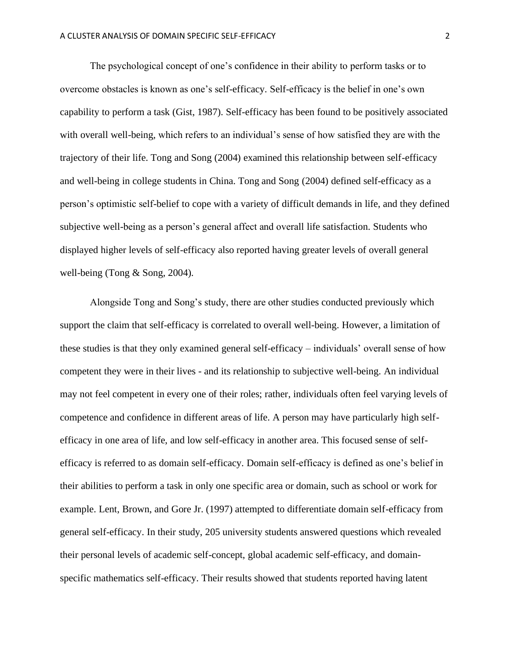The psychological concept of one's confidence in their ability to perform tasks or to overcome obstacles is known as one's self-efficacy. Self-efficacy is the belief in one's own capability to perform a task (Gist, 1987). Self-efficacy has been found to be positively associated with overall well-being, which refers to an individual's sense of how satisfied they are with the trajectory of their life. Tong and Song (2004) examined this relationship between self-efficacy and well-being in college students in China. Tong and Song (2004) defined self-efficacy as a person's optimistic self-belief to cope with a variety of difficult demands in life, and they defined subjective well-being as a person's general affect and overall life satisfaction. Students who displayed higher levels of self-efficacy also reported having greater levels of overall general well-being (Tong & Song, 2004).

Alongside Tong and Song's study, there are other studies conducted previously which support the claim that self-efficacy is correlated to overall well-being. However, a limitation of these studies is that they only examined general self-efficacy – individuals' overall sense of how competent they were in their lives - and its relationship to subjective well-being. An individual may not feel competent in every one of their roles; rather, individuals often feel varying levels of competence and confidence in different areas of life. A person may have particularly high selfefficacy in one area of life, and low self-efficacy in another area. This focused sense of selfefficacy is referred to as domain self-efficacy. Domain self-efficacy is defined as one's belief in their abilities to perform a task in only one specific area or domain, such as school or work for example. Lent, Brown, and Gore Jr. (1997) attempted to differentiate domain self-efficacy from general self-efficacy. In their study, 205 university students answered questions which revealed their personal levels of academic self-concept, global academic self-efficacy, and domainspecific mathematics self-efficacy. Their results showed that students reported having latent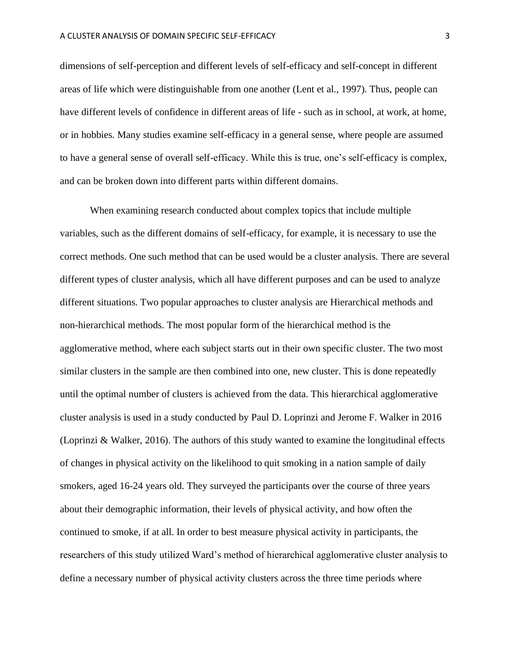dimensions of self-perception and different levels of self-efficacy and self-concept in different areas of life which were distinguishable from one another (Lent et al., 1997). Thus, people can have different levels of confidence in different areas of life - such as in school, at work, at home, or in hobbies. Many studies examine self-efficacy in a general sense, where people are assumed to have a general sense of overall self-efficacy. While this is true, one's self-efficacy is complex, and can be broken down into different parts within different domains.

When examining research conducted about complex topics that include multiple variables, such as the different domains of self-efficacy, for example, it is necessary to use the correct methods. One such method that can be used would be a cluster analysis. There are several different types of cluster analysis, which all have different purposes and can be used to analyze different situations. Two popular approaches to cluster analysis are Hierarchical methods and non-hierarchical methods. The most popular form of the hierarchical method is the agglomerative method, where each subject starts out in their own specific cluster. The two most similar clusters in the sample are then combined into one, new cluster. This is done repeatedly until the optimal number of clusters is achieved from the data. This hierarchical agglomerative cluster analysis is used in a study conducted by Paul D. Loprinzi and Jerome F. Walker in 2016 (Loprinzi & Walker, 2016). The authors of this study wanted to examine the longitudinal effects of changes in physical activity on the likelihood to quit smoking in a nation sample of daily smokers, aged 16-24 years old. They surveyed the participants over the course of three years about their demographic information, their levels of physical activity, and how often the continued to smoke, if at all. In order to best measure physical activity in participants, the researchers of this study utilized Ward's method of hierarchical agglomerative cluster analysis to define a necessary number of physical activity clusters across the three time periods where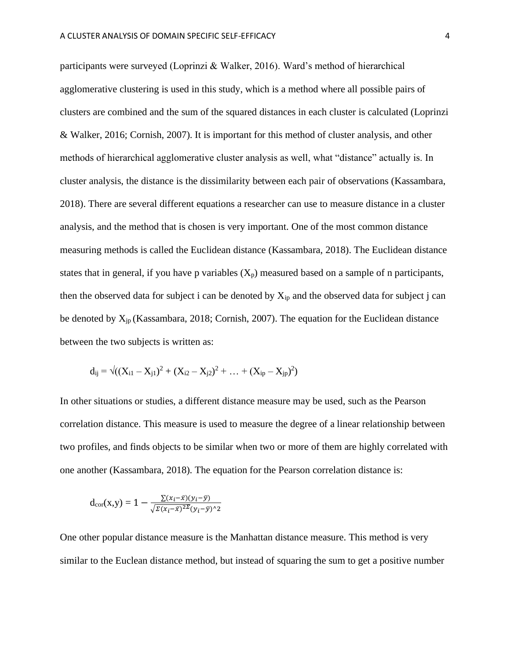participants were surveyed (Loprinzi & Walker, 2016). Ward's method of hierarchical agglomerative clustering is used in this study, which is a method where all possible pairs of clusters are combined and the sum of the squared distances in each cluster is calculated (Loprinzi & Walker, 2016; Cornish, 2007). It is important for this method of cluster analysis, and other methods of hierarchical agglomerative cluster analysis as well, what "distance" actually is. In cluster analysis, the distance is the dissimilarity between each pair of observations (Kassambara, 2018). There are several different equations a researcher can use to measure distance in a cluster analysis, and the method that is chosen is very important. One of the most common distance measuring methods is called the Euclidean distance (Kassambara, 2018). The Euclidean distance states that in general, if you have p variables  $(X_p)$  measured based on a sample of n participants, then the observed data for subject i can be denoted by  $X_{ip}$  and the observed data for subject j can be denoted by  $X_{jp}$  (Kassambara, 2018; Cornish, 2007). The equation for the Euclidean distance between the two subjects is written as:

$$
d_{ij} = \sqrt{((X_{i1} - X_{j1})^2 + (X_{i2} - X_{j2})^2 + \dots + (X_{ip} - X_{jp})^2)}
$$

In other situations or studies, a different distance measure may be used, such as the Pearson correlation distance. This measure is used to measure the degree of a linear relationship between two profiles, and finds objects to be similar when two or more of them are highly correlated with one another (Kassambara, 2018). The equation for the Pearson correlation distance is:

$$
d_{\text{cor}}(x,y) = 1 - \frac{\sum (x_i - \bar{x})(y_i - \bar{y})}{\sqrt{\sum (x_i - \bar{x})^2 \sum (y_i - \bar{y})^2}}
$$

One other popular distance measure is the Manhattan distance measure. This method is very similar to the Euclean distance method, but instead of squaring the sum to get a positive number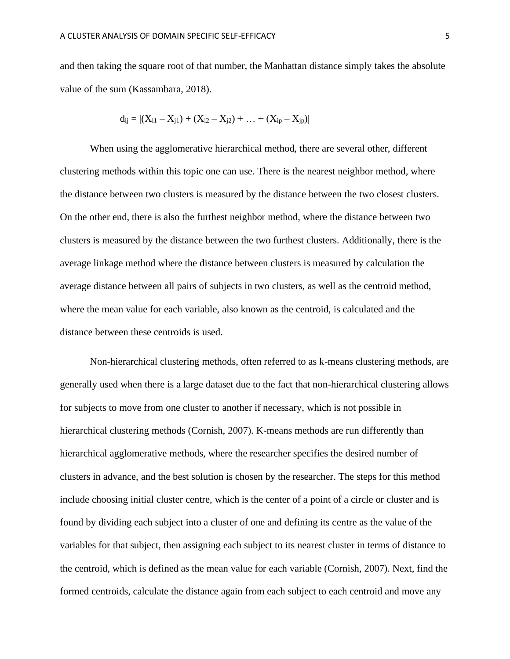and then taking the square root of that number, the Manhattan distance simply takes the absolute value of the sum (Kassambara, 2018).

$$
d_{ij} = |(X_{i1} - X_{j1}) + (X_{i2} - X_{j2}) + ... + (X_{ip} - X_{jp})|
$$

When using the agglomerative hierarchical method, there are several other, different clustering methods within this topic one can use. There is the nearest neighbor method, where the distance between two clusters is measured by the distance between the two closest clusters. On the other end, there is also the furthest neighbor method, where the distance between two clusters is measured by the distance between the two furthest clusters. Additionally, there is the average linkage method where the distance between clusters is measured by calculation the average distance between all pairs of subjects in two clusters, as well as the centroid method, where the mean value for each variable, also known as the centroid, is calculated and the distance between these centroids is used.

Non-hierarchical clustering methods, often referred to as k-means clustering methods, are generally used when there is a large dataset due to the fact that non-hierarchical clustering allows for subjects to move from one cluster to another if necessary, which is not possible in hierarchical clustering methods (Cornish, 2007). K-means methods are run differently than hierarchical agglomerative methods, where the researcher specifies the desired number of clusters in advance, and the best solution is chosen by the researcher. The steps for this method include choosing initial cluster centre, which is the center of a point of a circle or cluster and is found by dividing each subject into a cluster of one and defining its centre as the value of the variables for that subject, then assigning each subject to its nearest cluster in terms of distance to the centroid, which is defined as the mean value for each variable (Cornish, 2007). Next, find the formed centroids, calculate the distance again from each subject to each centroid and move any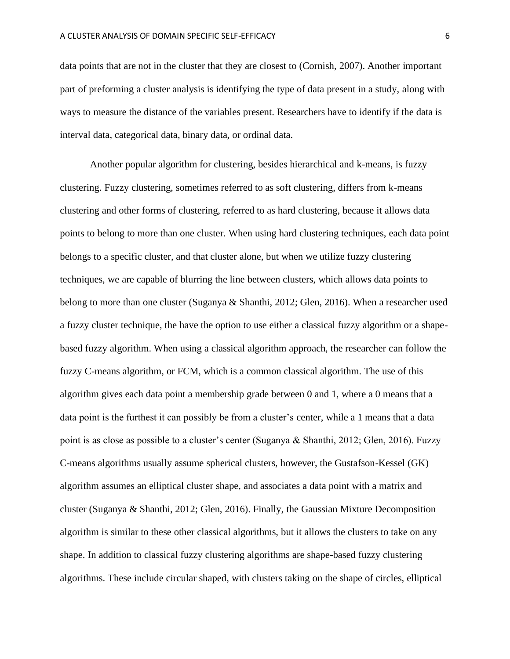data points that are not in the cluster that they are closest to (Cornish, 2007). Another important part of preforming a cluster analysis is identifying the type of data present in a study, along with ways to measure the distance of the variables present. Researchers have to identify if the data is interval data, categorical data, binary data, or ordinal data.

Another popular algorithm for clustering, besides hierarchical and k-means, is fuzzy clustering. Fuzzy clustering, sometimes referred to as soft clustering, differs from k-means clustering and other forms of clustering, referred to as hard clustering, because it allows data points to belong to more than one cluster. When using hard clustering techniques, each data point belongs to a specific cluster, and that cluster alone, but when we utilize fuzzy clustering techniques, we are capable of blurring the line between clusters, which allows data points to belong to more than one cluster (Suganya & Shanthi, 2012; Glen, 2016). When a researcher used a fuzzy cluster technique, the have the option to use either a classical fuzzy algorithm or a shapebased fuzzy algorithm. When using a classical algorithm approach, the researcher can follow the fuzzy C-means algorithm, or FCM, which is a common classical algorithm. The use of this algorithm gives each data point a membership grade between 0 and 1, where a 0 means that a data point is the furthest it can possibly be from a cluster's center, while a 1 means that a data point is as close as possible to a cluster's center (Suganya & Shanthi, 2012; Glen, 2016). Fuzzy C-means algorithms usually assume spherical clusters, however, the Gustafson-Kessel (GK) algorithm assumes an elliptical cluster shape, and associates a data point with a matrix and cluster (Suganya & Shanthi, 2012; Glen, 2016). Finally, the Gaussian Mixture Decomposition algorithm is similar to these other classical algorithms, but it allows the clusters to take on any shape. In addition to classical fuzzy clustering algorithms are shape-based fuzzy clustering algorithms. These include circular shaped, with clusters taking on the shape of circles, elliptical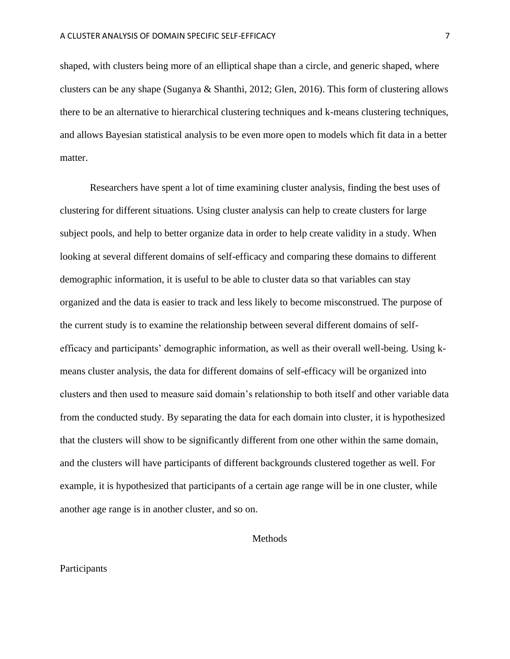shaped, with clusters being more of an elliptical shape than a circle, and generic shaped, where clusters can be any shape (Suganya & Shanthi, 2012; Glen, 2016). This form of clustering allows there to be an alternative to hierarchical clustering techniques and k-means clustering techniques, and allows Bayesian statistical analysis to be even more open to models which fit data in a better matter.

Researchers have spent a lot of time examining cluster analysis, finding the best uses of clustering for different situations. Using cluster analysis can help to create clusters for large subject pools, and help to better organize data in order to help create validity in a study. When looking at several different domains of self-efficacy and comparing these domains to different demographic information, it is useful to be able to cluster data so that variables can stay organized and the data is easier to track and less likely to become misconstrued. The purpose of the current study is to examine the relationship between several different domains of selfefficacy and participants' demographic information, as well as their overall well-being. Using kmeans cluster analysis, the data for different domains of self-efficacy will be organized into clusters and then used to measure said domain's relationship to both itself and other variable data from the conducted study. By separating the data for each domain into cluster, it is hypothesized that the clusters will show to be significantly different from one other within the same domain, and the clusters will have participants of different backgrounds clustered together as well. For example, it is hypothesized that participants of a certain age range will be in one cluster, while another age range is in another cluster, and so on.

**Methods** 

#### Participants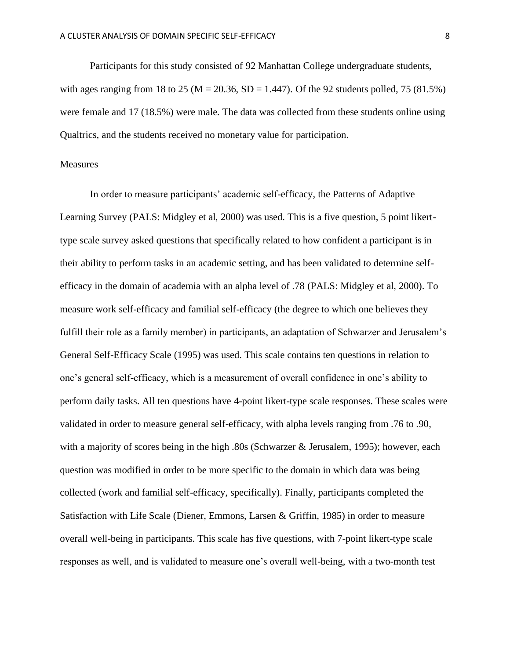Participants for this study consisted of 92 Manhattan College undergraduate students, with ages ranging from 18 to 25 ( $M = 20.36$ ,  $SD = 1.447$ ). Of the 92 students polled, 75 (81.5%) were female and 17 (18.5%) were male. The data was collected from these students online using Qualtrics, and the students received no monetary value for participation.

#### Measures

In order to measure participants' academic self-efficacy, the Patterns of Adaptive Learning Survey (PALS: Midgley et al, 2000) was used. This is a five question, 5 point likerttype scale survey asked questions that specifically related to how confident a participant is in their ability to perform tasks in an academic setting, and has been validated to determine selfefficacy in the domain of academia with an alpha level of .78 (PALS: Midgley et al, 2000). To measure work self-efficacy and familial self-efficacy (the degree to which one believes they fulfill their role as a family member) in participants, an adaptation of Schwarzer and Jerusalem's General Self-Efficacy Scale (1995) was used. This scale contains ten questions in relation to one's general self-efficacy, which is a measurement of overall confidence in one's ability to perform daily tasks. All ten questions have 4-point likert-type scale responses. These scales were validated in order to measure general self-efficacy, with alpha levels ranging from .76 to .90, with a majority of scores being in the high .80s (Schwarzer & Jerusalem, 1995); however, each question was modified in order to be more specific to the domain in which data was being collected (work and familial self-efficacy, specifically). Finally, participants completed the Satisfaction with Life Scale (Diener, Emmons, Larsen & Griffin, 1985) in order to measure overall well-being in participants. This scale has five questions, with 7-point likert-type scale responses as well, and is validated to measure one's overall well-being, with a two-month test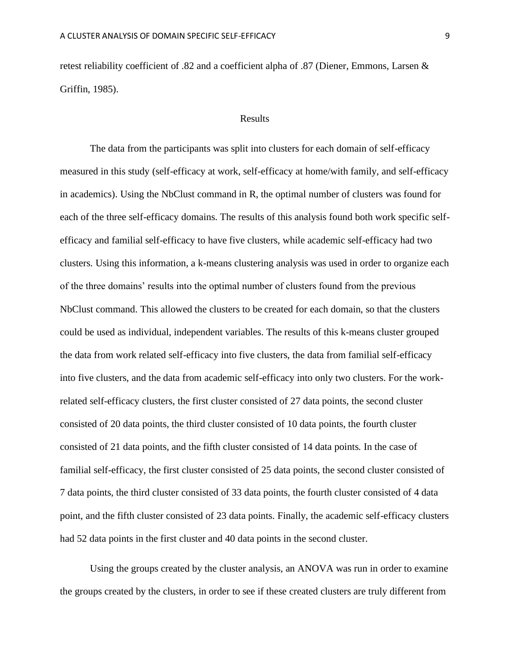retest reliability coefficient of .82 and a coefficient alpha of .87 (Diener, Emmons, Larsen & Griffin, 1985).

#### Results

The data from the participants was split into clusters for each domain of self-efficacy measured in this study (self-efficacy at work, self-efficacy at home/with family, and self-efficacy in academics). Using the NbClust command in R, the optimal number of clusters was found for each of the three self-efficacy domains. The results of this analysis found both work specific selfefficacy and familial self-efficacy to have five clusters, while academic self-efficacy had two clusters. Using this information, a k-means clustering analysis was used in order to organize each of the three domains' results into the optimal number of clusters found from the previous NbClust command. This allowed the clusters to be created for each domain, so that the clusters could be used as individual, independent variables. The results of this k-means cluster grouped the data from work related self-efficacy into five clusters, the data from familial self-efficacy into five clusters, and the data from academic self-efficacy into only two clusters. For the workrelated self-efficacy clusters, the first cluster consisted of 27 data points, the second cluster consisted of 20 data points, the third cluster consisted of 10 data points, the fourth cluster consisted of 21 data points, and the fifth cluster consisted of 14 data points. In the case of familial self-efficacy, the first cluster consisted of 25 data points, the second cluster consisted of 7 data points, the third cluster consisted of 33 data points, the fourth cluster consisted of 4 data point, and the fifth cluster consisted of 23 data points. Finally, the academic self-efficacy clusters had 52 data points in the first cluster and 40 data points in the second cluster.

Using the groups created by the cluster analysis, an ANOVA was run in order to examine the groups created by the clusters, in order to see if these created clusters are truly different from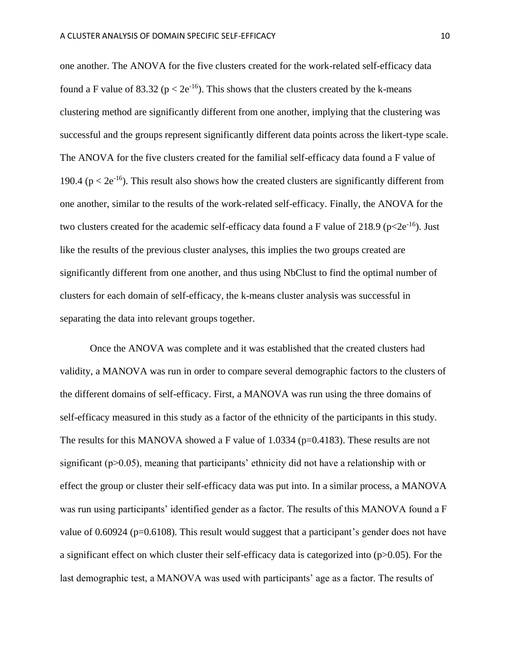one another. The ANOVA for the five clusters created for the work-related self-efficacy data found a F value of 83.32 ( $p < 2e^{-16}$ ). This shows that the clusters created by the k-means clustering method are significantly different from one another, implying that the clustering was successful and the groups represent significantly different data points across the likert-type scale. The ANOVA for the five clusters created for the familial self-efficacy data found a F value of 190.4 ( $p < 2e^{-16}$ ). This result also shows how the created clusters are significantly different from one another, similar to the results of the work-related self-efficacy. Finally, the ANOVA for the two clusters created for the academic self-efficacy data found a F value of 218.9 ( $p < 2e^{-16}$ ). Just like the results of the previous cluster analyses, this implies the two groups created are significantly different from one another, and thus using NbClust to find the optimal number of clusters for each domain of self-efficacy, the k-means cluster analysis was successful in separating the data into relevant groups together.

Once the ANOVA was complete and it was established that the created clusters had validity, a MANOVA was run in order to compare several demographic factors to the clusters of the different domains of self-efficacy. First, a MANOVA was run using the three domains of self-efficacy measured in this study as a factor of the ethnicity of the participants in this study. The results for this MANOVA showed a F value of 1.0334 (p=0.4183). These results are not significant ( $p > 0.05$ ), meaning that participants' ethnicity did not have a relationship with or effect the group or cluster their self-efficacy data was put into. In a similar process, a MANOVA was run using participants' identified gender as a factor. The results of this MANOVA found a F value of 0.60924 (p=0.6108). This result would suggest that a participant's gender does not have a significant effect on which cluster their self-efficacy data is categorized into  $(p>0.05)$ . For the last demographic test, a MANOVA was used with participants' age as a factor. The results of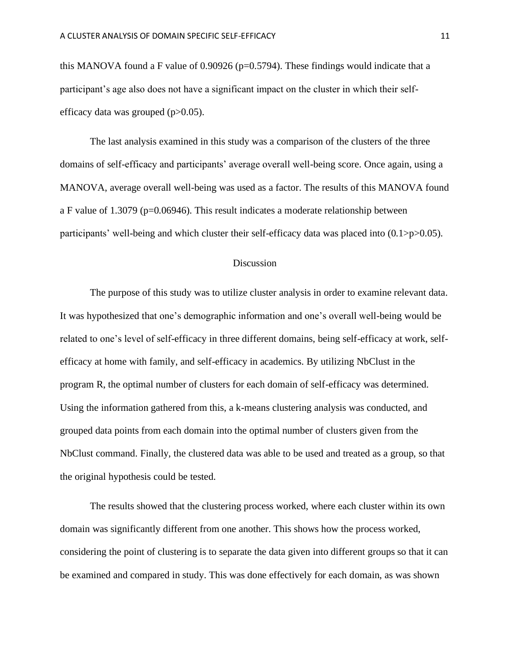this MANOVA found a F value of  $0.90926$  (p=0.5794). These findings would indicate that a participant's age also does not have a significant impact on the cluster in which their selfefficacy data was grouped  $(p>0.05)$ .

The last analysis examined in this study was a comparison of the clusters of the three domains of self-efficacy and participants' average overall well-being score. Once again, using a MANOVA, average overall well-being was used as a factor. The results of this MANOVA found a F value of 1.3079 (p=0.06946). This result indicates a moderate relationship between participants' well-being and which cluster their self-efficacy data was placed into (0.1>p>0.05).

#### Discussion

The purpose of this study was to utilize cluster analysis in order to examine relevant data. It was hypothesized that one's demographic information and one's overall well-being would be related to one's level of self-efficacy in three different domains, being self-efficacy at work, selfefficacy at home with family, and self-efficacy in academics. By utilizing NbClust in the program R, the optimal number of clusters for each domain of self-efficacy was determined. Using the information gathered from this, a k-means clustering analysis was conducted, and grouped data points from each domain into the optimal number of clusters given from the NbClust command. Finally, the clustered data was able to be used and treated as a group, so that the original hypothesis could be tested.

The results showed that the clustering process worked, where each cluster within its own domain was significantly different from one another. This shows how the process worked, considering the point of clustering is to separate the data given into different groups so that it can be examined and compared in study. This was done effectively for each domain, as was shown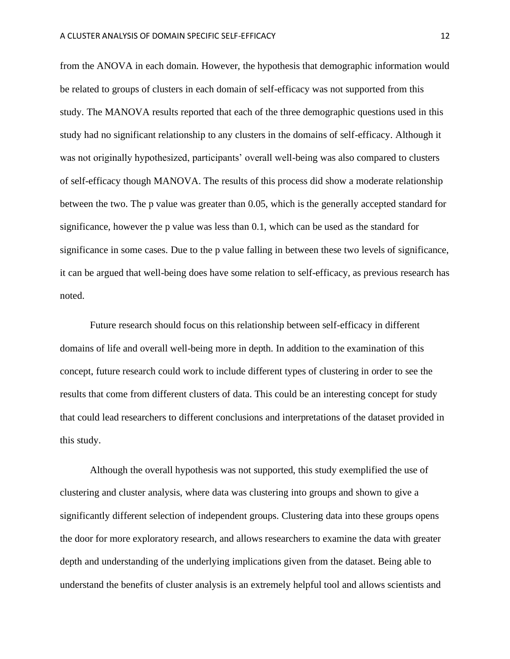from the ANOVA in each domain. However, the hypothesis that demographic information would be related to groups of clusters in each domain of self-efficacy was not supported from this study. The MANOVA results reported that each of the three demographic questions used in this study had no significant relationship to any clusters in the domains of self-efficacy. Although it was not originally hypothesized, participants' overall well-being was also compared to clusters of self-efficacy though MANOVA. The results of this process did show a moderate relationship between the two. The p value was greater than 0.05, which is the generally accepted standard for significance, however the p value was less than 0.1, which can be used as the standard for significance in some cases. Due to the p value falling in between these two levels of significance, it can be argued that well-being does have some relation to self-efficacy, as previous research has noted.

Future research should focus on this relationship between self-efficacy in different domains of life and overall well-being more in depth. In addition to the examination of this concept, future research could work to include different types of clustering in order to see the results that come from different clusters of data. This could be an interesting concept for study that could lead researchers to different conclusions and interpretations of the dataset provided in this study.

Although the overall hypothesis was not supported, this study exemplified the use of clustering and cluster analysis, where data was clustering into groups and shown to give a significantly different selection of independent groups. Clustering data into these groups opens the door for more exploratory research, and allows researchers to examine the data with greater depth and understanding of the underlying implications given from the dataset. Being able to understand the benefits of cluster analysis is an extremely helpful tool and allows scientists and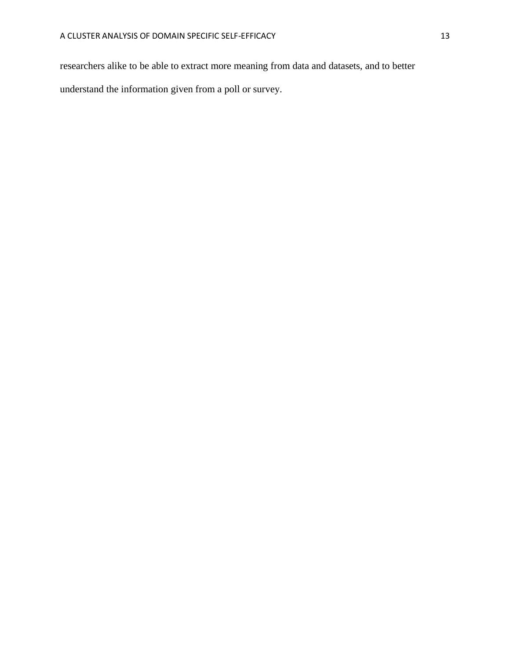researchers alike to be able to extract more meaning from data and datasets, and to better

understand the information given from a poll or survey.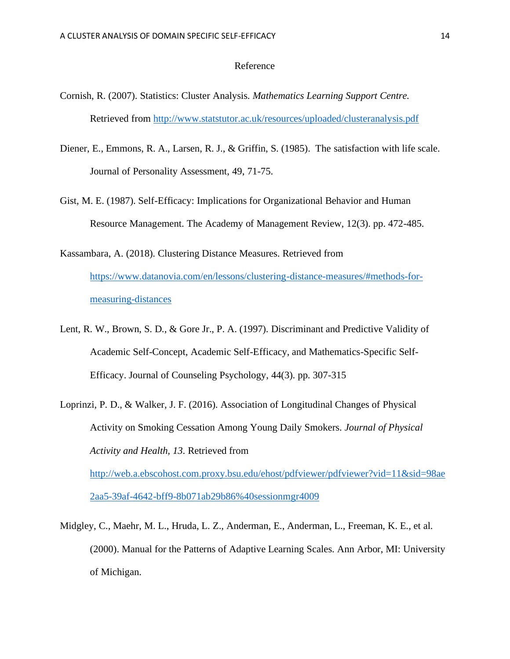#### Reference

- Cornish, R. (2007). Statistics: Cluster Analysis. *Mathematics Learning Support Centre.* Retrieved from<http://www.statstutor.ac.uk/resources/uploaded/clusteranalysis.pdf>
- Diener, E., Emmons, R. A., Larsen, R. J., & Griffin, S. (1985). The satisfaction with life scale. Journal of Personality Assessment, 49, 71-75.
- Gist, M. E. (1987). Self-Efficacy: Implications for Organizational Behavior and Human Resource Management. The Academy of Management Review, 12(3). pp. 472-485.
- Kassambara, A. (2018). Clustering Distance Measures. Retrieved from [https://www.datanovia.com/en/lessons/clustering-distance-measures/#methods-for](https://www.datanovia.com/en/lessons/clustering-distance-measures/#methods-for-measuring-distances)[measuring-distances](https://www.datanovia.com/en/lessons/clustering-distance-measures/#methods-for-measuring-distances)
- Lent, R. W., Brown, S. D., & Gore Jr., P. A. (1997). Discriminant and Predictive Validity of Academic Self-Concept, Academic Self-Efficacy, and Mathematics-Specific Self-Efficacy. Journal of Counseling Psychology, 44(3). pp. 307-315
- Loprinzi, P. D., & Walker, J. F. (2016). Association of Longitudinal Changes of Physical Activity on Smoking Cessation Among Young Daily Smokers. *Journal of Physical Activity and Health, 13*. Retrieved from [http://web.a.ebscohost.com.proxy.bsu.edu/ehost/pdfviewer/pdfviewer?vid=11&sid=98ae](http://web.a.ebscohost.com.proxy.bsu.edu/ehost/pdfviewer/pdfviewer?vid=11&sid=98ae2aa5-39af-4642-bff9-8b071ab29b86%40sessionmgr4009)

[2aa5-39af-4642-bff9-8b071ab29b86%40sessionmgr4009](http://web.a.ebscohost.com.proxy.bsu.edu/ehost/pdfviewer/pdfviewer?vid=11&sid=98ae2aa5-39af-4642-bff9-8b071ab29b86%40sessionmgr4009)

Midgley, C., Maehr, M. L., Hruda, L. Z., Anderman, E., Anderman, L., Freeman, K. E., et al. (2000). Manual for the Patterns of Adaptive Learning Scales. Ann Arbor, MI: University of Michigan.